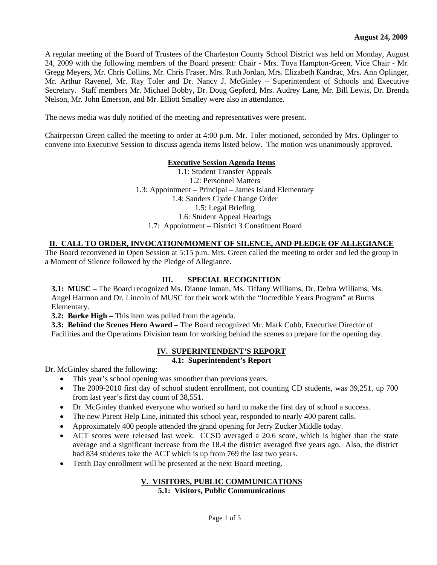A regular meeting of the Board of Trustees of the Charleston County School District was held on Monday, August 24, 2009 with the following members of the Board present: Chair - Mrs. Toya Hampton-Green, Vice Chair - Mr. Gregg Meyers, Mr. Chris Collins, Mr. Chris Fraser, Mrs. Ruth Jordan, Mrs. Elizabeth Kandrac, Mrs. Ann Oplinger, Mr. Arthur Ravenel, Mr. Ray Toler and Dr. Nancy J. McGinley – Superintendent of Schools and Executive Secretary. Staff members Mr. Michael Bobby, Dr. Doug Gepford, Mrs. Audrey Lane, Mr. Bill Lewis, Dr. Brenda Nelson, Mr. John Emerson, and Mr. Elliott Smalley were also in attendance.

The news media was duly notified of the meeting and representatives were present.

Chairperson Green called the meeting to order at 4:00 p.m. Mr. Toler motioned, seconded by Mrs. Oplinger to convene into Executive Session to discuss agenda items listed below. The motion was unanimously approved.

### **Executive Session Agenda Items**

1.1: Student Transfer Appeals 1.2: Personnel Matters 1.3: Appointment – Principal – James Island Elementary 1.4: Sanders Clyde Change Order 1.5: Legal Briefing 1.6: Student Appeal Hearings 1.7: Appointment – District 3 Constituent Board

# **II. CALL TO ORDER, INVOCATION/MOMENT OF SILENCE, AND PLEDGE OF ALLEGIANCE**

The Board reconvened in Open Session at 5:15 p.m. Mrs. Green called the meeting to order and led the group in a Moment of Silence followed by the Pledge of Allegiance.

## **III. SPECIAL RECOGNITION**

**3.1: MUSC** – The Board recognized Ms. Dianne Inman, Ms. Tiffany Williams, Dr. Debra Williams, Ms. Angel Harmon and Dr. Lincoln of MUSC for their work with the "Incredible Years Program" at Burns Elementary.

**3.2: Burke High – This item was pulled from the agenda.** 

**3.3: Behind the Scenes Hero Award –** The Board recognized Mr. Mark Cobb, Executive Director of Facilities and the Operations Division team for working behind the scenes to prepare for the opening day.

#### **IV. SUPERINTENDENT'S REPORT**

#### **4.1: Superintendent's Report**

Dr. McGinley shared the following:

- This year's school opening was smoother than previous years.
- The 2009-2010 first day of school student enrollment, not counting CD students, was 39,251, up 700 from last year's first day count of 38,551.
- Dr. McGinley thanked everyone who worked so hard to make the first day of school a success.
- The new Parent Help Line, initiated this school year, responded to nearly 400 parent calls.
- Approximately 400 people attended the grand opening for Jerry Zucker Middle today.
- ACT scores were released last week. CCSD averaged a 20.6 score, which is higher than the state average and a significant increase from the 18.4 the district averaged five years ago. Also, the district had 834 students take the ACT which is up from 769 the last two years.
- Tenth Day enrollment will be presented at the next Board meeting.

#### **V. VISITORS, PUBLIC COMMUNICATIONS 5.1: Visitors, Public Communications**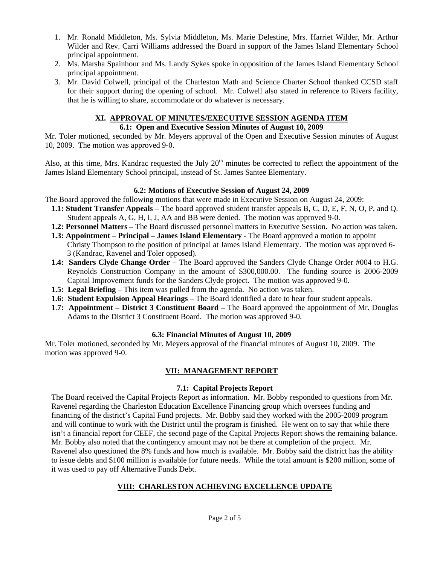- 1. Mr. Ronald Middleton, Ms. Sylvia Middleton, Ms. Marie Delestine, Mrs. Harriet Wilder, Mr. Arthur Wilder and Rev. Carri Williams addressed the Board in support of the James Island Elementary School principal appointment.
- 2. Ms. Marsha Spainhour and Ms. Landy Sykes spoke in opposition of the James Island Elementary School principal appointment.
- 3. Mr. David Colwell, principal of the Charleston Math and Science Charter School thanked CCSD staff for their support during the opening of school. Mr. Colwell also stated in reference to Rivers facility, that he is willing to share, accommodate or do whatever is necessary.

# **XI. APPROVAL OF MINUTES/EXECUTIVE SESSION AGENDA ITEM**

# **6.1: Open and Executive Session Minutes of August 10, 2009**

Mr. Toler motioned, seconded by Mr. Meyers approval of the Open and Executive Session minutes of August 10, 2009. The motion was approved 9-0.

Also, at this time, Mrs. Kandrac requested the July  $20<sup>th</sup>$  minutes be corrected to reflect the appointment of the James Island Elementary School principal, instead of St. James Santee Elementary.

# **6.2: Motions of Executive Session of August 24, 2009**

The Board approved the following motions that were made in Executive Session on August 24, 2009:

- **1.1: Student Transfer Appeals**  The board approved student transfer appeals B, C, D, E, F, N, O, P, and Q. Student appeals A, G, H, I, J, AA and BB were denied. The motion was approved 9-0.
- **1.2: Personnel Matters** The Board discussed personnel matters in Executive Session. No action was taken.
- **1.3: Appointment Principal James Island Elementary** The Board approved a motion to appoint Christy Thompson to the position of principal at James Island Elementary. The motion was approved 6- 3 (Kandrac, Ravenel and Toler opposed).
- **1.4: Sanders Clyde Change Order**  The Board approved the Sanders Clyde Change Order #004 to H.G. Reynolds Construction Company in the amount of \$300,000.00. The funding source is 2006-2009 Capital Improvement funds for the Sanders Clyde project. The motion was approved 9-0.
- **1.5: Legal Briefing** This item was pulled from the agenda. No action was taken.
- **1.6: Student Expulsion Appeal Hearings** The Board identified a date to hear four student appeals.
- **1**.**7: Appointment District 3 Constituent Board** The Board approved the appointment of Mr. Douglas Adams to the District 3 Constituent Board. The motion was approved 9-0.

# **6.3: Financial Minutes of August 10, 2009**

Mr. Toler motioned, seconded by Mr. Meyers approval of the financial minutes of August 10, 2009. The motion was approved 9-0.

# **VII: MANAGEMENT REPORT**

# **7.1: Capital Projects Report**

The Board received the Capital Projects Report as information. Mr. Bobby responded to questions from Mr. Ravenel regarding the Charleston Education Excellence Financing group which oversees funding and financing of the district's Capital Fund projects. Mr. Bobby said they worked with the 2005-2009 program and will continue to work with the District until the program is finished. He went on to say that while there isn't a financial report for CEEF, the second page of the Capital Projects Report shows the remaining balance. Mr. Bobby also noted that the contingency amount may not be there at completion of the project. Mr. Ravenel also questioned the 8% funds and how much is available. Mr. Bobby said the district has the ability to issue debts and \$100 million is available for future needs. While the total amount is \$200 million, some of it was used to pay off Alternative Funds Debt.

# **VIII: CHARLESTON ACHIEVING EXCELLENCE UPDATE**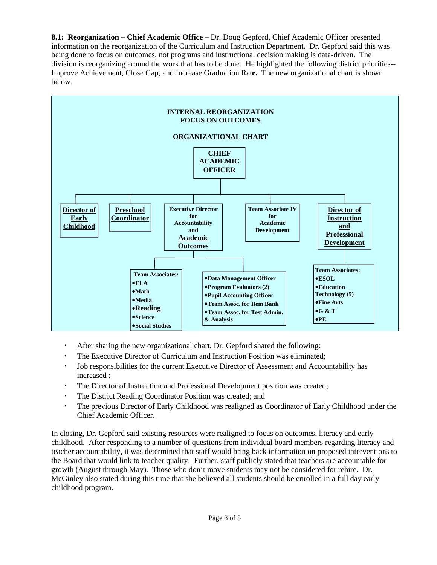**8.1: Reorganization – Chief Academic Office –** Dr. Doug Gepford, Chief Academic Officer presented information on the reorganization of the Curriculum and Instruction Department. Dr. Gepford said this was being done to focus on outcomes, not programs and instructional decision making is data-driven. The division is reorganizing around the work that has to be done. He highlighted the following district priorities-- Improve Achievement, Close Gap, and Increase Graduation Rat**e.** The new organizational chart is shown below.



- After sharing the new organizational chart, Dr. Gepford shared the following:
- The Executive Director of Curriculum and Instruction Position was eliminated;
- Job responsibilities for the current Executive Director of Assessment and Accountability has increased ;
- The Director of Instruction and Professional Development position was created;
- The District Reading Coordinator Position was created; and
- The previous Director of Early Childhood was realigned as Coordinator of Early Childhood under the Chief Academic Officer.

In closing, Dr. Gepford said existing resources were realigned to focus on outcomes, literacy and early childhood. After responding to a number of questions from individual board members regarding literacy and teacher accountability, it was determined that staff would bring back information on proposed interventions to the Board that would link to teacher quality. Further, staff publicly stated that teachers are accountable for growth (August through May). Those who don't move students may not be considered for rehire. Dr. McGinley also stated during this time that she believed all students should be enrolled in a full day early childhood program.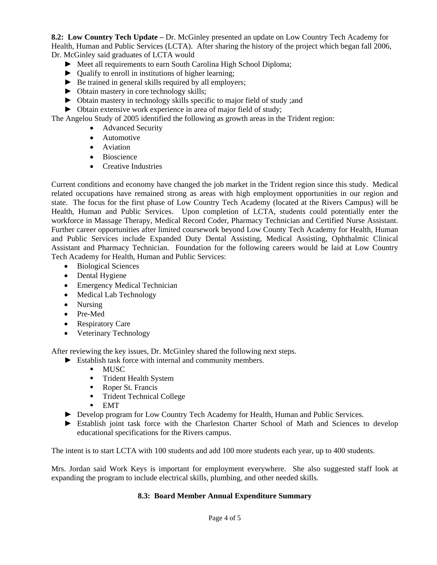**8.2: Low Country Tech Update –** Dr. McGinley presented an update on Low Country Tech Academy for Health, Human and Public Services (LCTA). After sharing the history of the project which began fall 2006, Dr. McGinley said graduates of LCTA would

- ► Meet all requirements to earn South Carolina High School Diploma;
- ► Qualify to enroll in institutions of higher learning;
- ► Be trained in general skills required by all employers;
- ► Obtain mastery in core technology skills;
- ► Obtain mastery in technology skills specific to major field of study ;and
- ► Obtain extensive work experience in area of major field of study;

The Angelou Study of 2005 identified the following as growth areas in the Trident region:

- Advanced Security
- Automotive
- Aviation
- Bioscience
- Creative Industries

Current conditions and economy have changed the job market in the Trident region since this study. Medical related occupations have remained strong as areas with high employment opportunities in our region and state. The focus for the first phase of Low Country Tech Academy (located at the Rivers Campus) will be Health, Human and Public Services. Upon completion of LCTA, students could potentially enter the workforce in Massage Therapy, Medical Record Coder, Pharmacy Technician and Certified Nurse Assistant. Further career opportunities after limited coursework beyond Low County Tech Academy for Health, Human and Public Services include Expanded Duty Dental Assisting, Medical Assisting, Ophthalmic Clinical Assistant and Pharmacy Technician. Foundation for the following careers would be laid at Low Country Tech Academy for Health, Human and Public Services:

- Biological Sciences
- Dental Hygiene
- Emergency Medical Technician
- Medical Lab Technology
- Nursing
- Pre-Med
- Respiratory Care
- Veterinary Technology

After reviewing the key issues, Dr. McGinley shared the following next steps.

- ► Establish task force with internal and community members.
	- MUSC
	- **Trident Health System**
	- Roper St. Francis
	- **Trident Technical College**
	- $EMT$
- ► Develop program for Low Country Tech Academy for Health, Human and Public Services.
- ► Establish joint task force with the Charleston Charter School of Math and Sciences to develop educational specifications for the Rivers campus.

The intent is to start LCTA with 100 students and add 100 more students each year, up to 400 students.

Mrs. Jordan said Work Keys is important for employment everywhere. She also suggested staff look at expanding the program to include electrical skills, plumbing, and other needed skills.

#### **8.3: Board Member Annual Expenditure Summary**